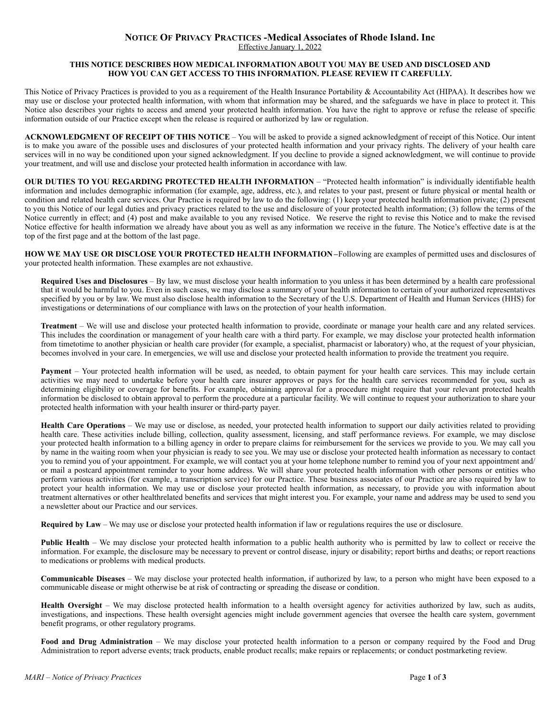## **NOTICE OF PRIVACY PRACTICES -Medical Associates of Rhode Island. Inc**

Effective January 1, 2022

## **THIS NOTICE DESCRIBES HOW MEDICAL INFORMATION ABOUT YOU MAY BE USED AND DISCLOSED AND HOW YOU CAN GET ACCESS TO THIS INFORMATION. PLEASE REVIEW IT CAREFULLY.**

This Notice of Privacy Practices is provided to you as a requirement of the Health Insurance Portability & Accountability Act (HIPAA). It describes how we may use or disclose your protected health information, with whom that information may be shared, and the safeguards we have in place to protect it. This Notice also describes your rights to access and amend your protected health information. You have the right to approve or refuse the release of specific information outside of our Practice except when the release is required or authorized by law or regulation.

**ACKNOWLEDGMENT OF RECEIPT OF THIS NOTICE** – You will be asked to provide a signed acknowledgment of receipt of this Notice. Our intent is to make you aware of the possible uses and disclosures of your protected health information and your privacy rights. The delivery of your health care services will in no way be conditioned upon your signed acknowledgment. If you decline to provide a signed acknowledgment, we will continue to provide your treatment, and will use and disclose your protected health information in accordance with law.

**OUR DUTIES TO YOU REGARDING PROTECTED HEALTH INFORMATION** – "Protected health information" is individually identifiable health information and includes demographic information (for example, age, address, etc.), and relates to your past, present or future physical or mental health or condition and related health care services. Our Practice is required by law to do the following: (1) keep your protected health information private; (2) present to you this Notice of our legal duties and privacy practices related to the use and disclosure of your protected health information; (3) follow the terms of the Notice currently in effect; and (4) post and make available to you any revised Notice. We reserve the right to revise this Notice and to make the revised Notice effective for health information we already have about you as well as any information we receive in the future. The Notice's effective date is at the top of the first page and at the bottom of the last page.

**HOW WE MAY USE OR DISCLOSE YOUR PROTECTED HEALTH INFORMATION –** Following are examples of permitted uses and disclosures of your protected health information. These examples are not exhaustive.

**Required Uses and Disclosures** – By law, we must disclose your health information to you unless it has been determined by a health care professional that it would be harmful to you. Even in such cases, we may disclose a summary of your health information to certain of your authorized representatives specified by you or by law. We must also disclose health information to the Secretary of the U.S. Department of Health and Human Services (HHS) for investigations or determinations of our compliance with laws on the protection of your health information.

**Treatment** – We will use and disclose your protected health information to provide, coordinate or manage your health care and any related services. This includes the coordination or management of your health care with a third party. For example, we may disclose your protected health information from timetotime to another physician or health care provider (for example, a specialist, pharmacist or laboratory) who, at the request of your physician, becomes involved in your care. In emergencies, we will use and disclose your protected health information to provide the treatment you require.

**Payment** – Your protected health information will be used, as needed, to obtain payment for your health care services. This may include certain activities we may need to undertake before your health care insurer approves or pays for the health care services recommended for you, such as determining eligibility or coverage for benefits. For example, obtaining approval for a procedure might require that your relevant protected health information be disclosed to obtain approval to perform the procedure at a particular facility. We will continue to request your authorization to share your protected health information with your health insurer or third-party payer.

**Health Care Operations** – We may use or disclose, as needed, your protected health information to support our daily activities related to providing health care. These activities include billing, collection, quality assessment, licensing, and staff performance reviews. For example, we may disclose your protected health information to a billing agency in order to prepare claims for reimbursement for the services we provide to you. We may call you by name in the waiting room when your physician is ready to see you. We may use or disclose your protected health information as necessary to contact you to remind you of your appointment. For example, we will contact you at your home telephone number to remind you of your next appointment and/ or mail a postcard appointment reminder to your home address. We will share your protected health information with other persons or entities who perform various activities (for example, a transcription service) for our Practice. These business associates of our Practice are also required by law to protect your health information. We may use or disclose your protected health information, as necessary, to provide you with information about treatment alternatives or other healthrelated benefits and services that might interest you. For example, your name and address may be used to send you a newsletter about our Practice and our services.

**Required by Law** – We may use or disclose your protected health information if law or regulations requires the use or disclosure.

**Public Health** – We may disclose your protected health information to a public health authority who is permitted by law to collect or receive the information. For example, the disclosure may be necessary to prevent or control disease, injury or disability; report births and deaths; or report reactions to medications or problems with medical products.

**Communicable Diseases** – We may disclose your protected health information, if authorized by law, to a person who might have been exposed to a communicable disease or might otherwise be at risk of contracting or spreading the disease or condition.

**Health Oversight** – We may disclose protected health information to a health oversight agency for activities authorized by law, such as audits, investigations, and inspections. These health oversight agencies might include government agencies that oversee the health care system, government benefit programs, or other regulatory programs.

**Food and Drug Administration** – We may disclose your protected health information to a person or company required by the Food and Drug Administration to report adverse events; track products, enable product recalls; make repairs or replacements; or conduct postmarketing review.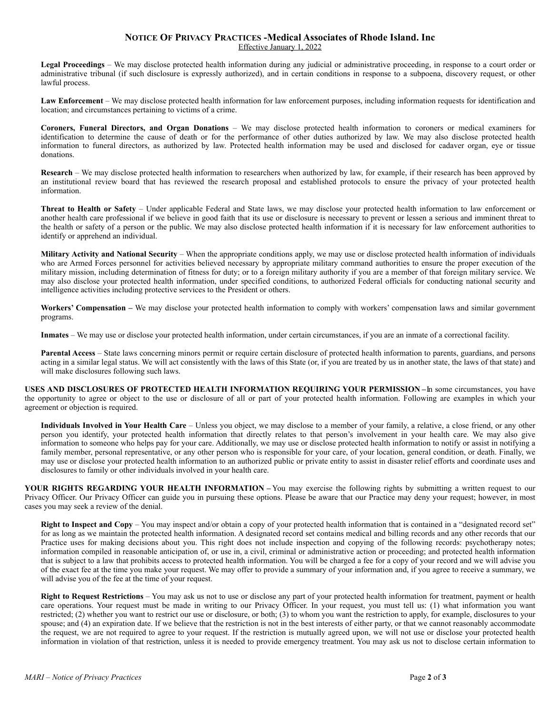## **NOTICE OF PRIVACY PRACTICES -Medical Associates of Rhode Island. Inc** Effective January 1, 2022

**Legal Proceedings** – We may disclose protected health information during any judicial or administrative proceeding, in response to a court order or administrative tribunal (if such disclosure is expressly authorized), and in certain conditions in response to a subpoena, discovery request, or other lawful process.

**Law Enforcement** – We may disclose protected health information for law enforcement purposes, including information requests for identification and location; and circumstances pertaining to victims of a crime.

**Coroners, Funeral Directors, and Organ Donations** – We may disclose protected health information to coroners or medical examiners for identification to determine the cause of death or for the performance of other duties authorized by law. We may also disclose protected health information to funeral directors, as authorized by law. Protected health information may be used and disclosed for cadaver organ, eye or tissue donations.

**Research** – We may disclose protected health information to researchers when authorized by law, for example, if their research has been approved by an institutional review board that has reviewed the research proposal and established protocols to ensure the privacy of your protected health information.

**Threat to Health or Safety** – Under applicable Federal and State laws, we may disclose your protected health information to law enforcement or another health care professional if we believe in good faith that its use or disclosure is necessary to prevent or lessen a serious and imminent threat to the health or safety of a person or the public. We may also disclose protected health information if it is necessary for law enforcement authorities to identify or apprehend an individual.

**Military Activity and National Security** – When the appropriate conditions apply, we may use or disclose protected health information of individuals who are Armed Forces personnel for activities believed necessary by appropriate military command authorities to ensure the proper execution of the military mission, including determination of fitness for duty; or to a foreign military authority if you are a member of that foreign military service. We may also disclose your protected health information, under specified conditions, to authorized Federal officials for conducting national security and intelligence activities including protective services to the President or others.

**Workers' Compensation –** We may disclose your protected health information to comply with workers' compensation laws and similar government programs.

**Inmates** – We may use or disclose your protected health information, under certain circumstances, if you are an inmate of a correctional facility.

**Parental Access** – State laws concerning minors permit or require certain disclosure of protected health information to parents, guardians, and persons acting in a similar legal status. We will act consistently with the laws of this State (or, if you are treated by us in another state, the laws of that state) and will make disclosures following such laws.

**USES AND DISCLOSURES OF PROTECTED HEALTH INFORMATION REQUIRING YOUR PERMISSION - In some circumstances, you have** the opportunity to agree or object to the use or disclosure of all or part of your protected health information. Following are examples in which your agreement or objection is required.

**Individuals Involved in Your Health Care** – Unless you object, we may disclose to a member of your family, a relative, a close friend, or any other person you identify, your protected health information that directly relates to that person's involvement in your health care. We may also give information to someone who helps pay for your care. Additionally, we may use or disclose protected health information to notify or assist in notifying a family member, personal representative, or any other person who is responsible for your care, of your location, general condition, or death. Finally, we may use or disclose your protected health information to an authorized public or private entity to assist in disaster relief efforts and coordinate uses and disclosures to family or other individuals involved in your health care.

**YOUR RIGHTS REGARDING YOUR HEALTH INFORMATION –** You may exercise the following rights by submitting a written request to our Privacy Officer. Our Privacy Officer can guide you in pursuing these options. Please be aware that our Practice may deny your request; however, in most cases you may seek a review of the denial.

**Right to Inspect and Copy** – You may inspect and/or obtain a copy of your protected health information that is contained in a "designated record set" for as long as we maintain the protected health information. A designated record set contains medical and billing records and any other records that our Practice uses for making decisions about you. This right does not include inspection and copying of the following records: psychotherapy notes; information compiled in reasonable anticipation of, or use in, a civil, criminal or administrative action or proceeding; and protected health information that is subject to a law that prohibits access to protected health information. You will be charged a fee for a copy of your record and we will advise you of the exact fee at the time you make your request. We may offer to provide a summary of your information and, if you agree to receive a summary, we will advise you of the fee at the time of your request.

**Right to Request Restrictions** – You may ask us not to use or disclose any part of your protected health information for treatment, payment or health care operations. Your request must be made in writing to our Privacy Officer. In your request, you must tell us: (1) what information you want restricted; (2) whether you want to restrict our use or disclosure, or both; (3) to whom you want the restriction to apply, for example, disclosures to your spouse; and (4) an expiration date. If we believe that the restriction is not in the best interests of either party, or that we cannot reasonably accommodate the request, we are not required to agree to your request. If the restriction is mutually agreed upon, we will not use or disclose your protected health information in violation of that restriction, unless it is needed to provide emergency treatment. You may ask us not to disclose certain information to